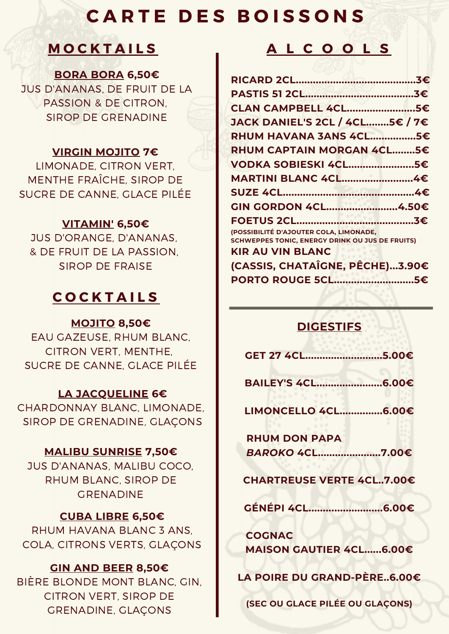# **C A R T E D E S B O I S S O N S**

**BORA BORA 6,50€**

JUS D'ANANAS, DE FRUIT DE LA PASSION & DE CITRON, SIROP DE GRENADINE

## **VIRGIN MOJITO 7€**

LIMONADE, CITRON VERT, MENTHE FRAÎCHE, SIROP DE SUCRE DE CANNE, GLACE PILÉE

## **VITAMIN' 6,50€**

JUS D'ORANGE, D'ANANAS, & DE FRUIT DE LA PASSION, SIROP DE FRAISE

## **C O C K T A I L S**

## **MOJITO 8,50€**

EAU GAZEUSE, RHUM BLANC, CITRON VERT, MENTHE, SUCRE DE CANNE, GLACE PILÉE

## **LA JACQUELINE 6€**

CHARDONNAY BLANC, LIMONADE, SIROP DE GRENADINE, GLAÇONS

## **MALIBU SUNRISE 7,50€**

JUS D'ANANAS, MALIBU COCO, RHUM BLANC, SIROP DE GRENADINE

## **CUBA LIBRE 6,50€**

RHUM HAVANA BLANC 3 ANS, COLA, CITRONS VERTS, GLAÇONS

## **GIN AND BEER 8,50€**

BIÈRE BLONDE MONT BLANC, GIN, CITRON VERT, SIROP DE GRENADINE, GLAÇONS

# **M O C K T A I L S A L C O O L S**

| CLAN CAMPBELL 4CL5€                                                                              |  |
|--------------------------------------------------------------------------------------------------|--|
| JACK DANIEL'S 2CL / 4CL 5€ / 7€                                                                  |  |
| RHUM HAVANA 3ANS 4CL5€                                                                           |  |
| RHUM CAPTAIN MORGAN 4CL5€                                                                        |  |
| VODKA SOBIESKI 4CL5€                                                                             |  |
| MARTINI BLANC 4CL4€                                                                              |  |
|                                                                                                  |  |
| GIN GORDON 4CL4.50€                                                                              |  |
|                                                                                                  |  |
| (POSSIBILITÉ D'AJOUTER COLA, LIMONADE,<br><b>SCHWEPPES TONIC, ENERGY DRINK OU JUS DE FRUITS)</b> |  |
| <b>KIR AU VIN BLANC</b>                                                                          |  |
| (CASSIS, CHATAÎGNE, PÊCHE)3.90€                                                                  |  |
| PORTO ROUGE 5CL5€                                                                                |  |
|                                                                                                  |  |

## **DIGESTIFS**

| GET 27 4CL5.00€                  |
|----------------------------------|
| BAILEY'S 4CL6.00€                |
| LIMONCELLO 4CL6.00€              |
| <b>RHUM DON PAPA</b>             |
| BAROKO 4CL7.00€                  |
| <b>CHARTREUSE VERTE 4CL7.00€</b> |
| GÉNÉPI 4CL6.00€                  |
| <b>COGNAC</b>                    |
| <b>MAISON GAUTIER 4CL6.00€</b>   |
| LA POIRE DU GRAND-PÈRE6.00€      |
|                                  |

**(SEC OU GLACE PILÉE OU GLAÇONS)**